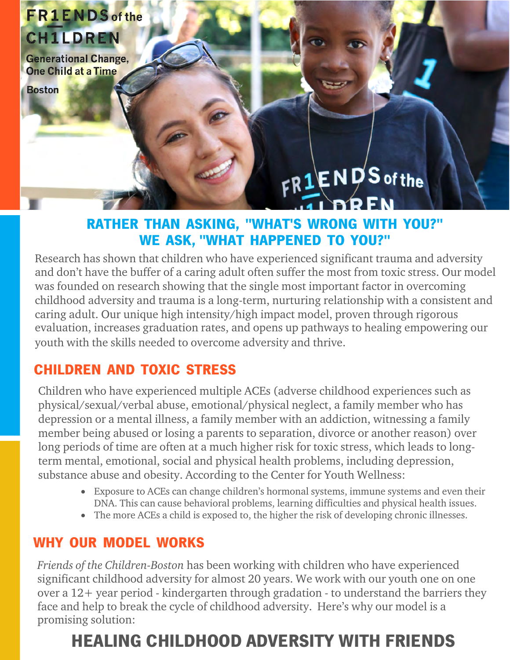## **FR1ENDS** of the **CH1LDREN**

**Generational Change,** One Child at a Time

**Boston** 

# $FR1$ ENDS of the

#### RATHER THAN ASKING, "WHAT'S WRONG WITH YOU?" WE ASK, "WHAT HAPPENED TO YOU?"

Research has shown that children who have experienced significant trauma and adversity and don't have the buffer of a caring adult often suffer the most from toxic stress. Our model was founded on research showing that the single most important factor in overcoming childhood adversity and trauma is a long-term, nurturing relationship with a consistent and caring adult. Our unique high intensity/high impact model, proven through rigorous evaluation, increases graduation rates, and opens up pathways to healing empowering our youth with the skills needed to overcome adversity and thrive.

#### CHILDREN AND TOXIC STRESS

Children who have experienced multiple ACEs (adverse childhood experiences such as physical/sexual/verbal abuse, emotional/physical neglect, a family member who has depression or a mental illness, a family member with an addiction, witnessing a family member being abused or losing a parents to separation, divorce or another reason) over long periods of time are often at a much higher risk for toxic stress, which leads to longterm mental, emotional, social and physical health problems, including depression, substance abuse and obesity. According to the Center for Youth Wellness:

- Exposure to ACEs can change children's hormonal systems, immune systems and even their DNA. This can cause behavioral problems, learning difficulties and physical health issues.
- The more ACEs a child is exposed to, the higher the risk of developing chronic illnesses.

#### WHY OUR MODEL WORKS

*Friends of the Children-Boston* has been working with children who have experienced significant childhood adversity for almost 20 years. We work with our youth one on one over a 12+ year period - kindergarten through gradation - to understand the barriers they face and help to break the cycle of childhood adversity. Here's why our model is a promising solution:

## HEALING CHILDHOOD ADVERSITY WITH FRIENDS